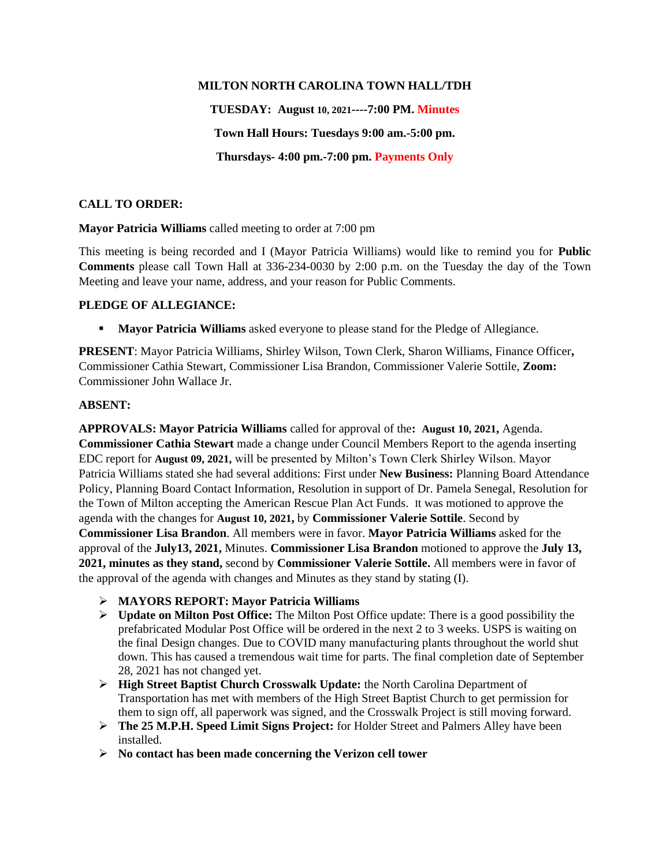#### **MILTON NORTH CAROLINA TOWN HALL/TDH**

**TUESDAY: August 10, 2021----7:00 PM. Minutes Town Hall Hours: Tuesdays 9:00 am.-5:00 pm. Thursdays- 4:00 pm.-7:00 pm. Payments Only**

# **CALL TO ORDER:**

**Mayor Patricia Williams** called meeting to order at 7:00 pm

This meeting is being recorded and I (Mayor Patricia Williams) would like to remind you for **Public Comments** please call Town Hall at 336-234-0030 by 2:00 p.m. on the Tuesday the day of the Town Meeting and leave your name, address, and your reason for Public Comments.

## **PLEDGE OF ALLEGIANCE:**

**• Mayor Patricia Williams** asked everyone to please stand for the Pledge of Allegiance.

**PRESENT**: Mayor Patricia Williams, Shirley Wilson, Town Clerk, Sharon Williams, Finance Officer**,**  Commissioner Cathia Stewart, Commissioner Lisa Brandon, Commissioner Valerie Sottile, **Zoom:** Commissioner John Wallace Jr.

## **ABSENT:**

**APPROVALS: Mayor Patricia Williams** called for approval of the**: August 10, 2021,** Agenda. **Commissioner Cathia Stewart** made a change under Council Members Report to the agenda inserting EDC report for **August 09, 2021,** will be presented by Milton's Town Clerk Shirley Wilson. Mayor Patricia Williams stated she had several additions: First under **New Business:** Planning Board Attendance Policy, Planning Board Contact Information, Resolution in support of Dr. Pamela Senegal, Resolution for the Town of Milton accepting the American Rescue Plan Act Funds. It was motioned to approve the agenda with the changes for **August 10, 2021,** by **Commissioner Valerie Sottile**. Second by **Commissioner Lisa Brandon**. All members were in favor. **Mayor Patricia Williams** asked for the approval of the **July13, 2021,** Minutes. **Commissioner Lisa Brandon** motioned to approve the **July 13, 2021, minutes as they stand,** second by **Commissioner Valerie Sottile.** All members were in favor of the approval of the agenda with changes and Minutes as they stand by stating (I).

- ➢ **MAYORS REPORT: Mayor Patricia Williams**
- ➢ **Update on Milton Post Office:** The Milton Post Office update: There is a good possibility the prefabricated Modular Post Office will be ordered in the next 2 to 3 weeks. USPS is waiting on the final Design changes. Due to COVID many manufacturing plants throughout the world shut down. This has caused a tremendous wait time for parts. The final completion date of September 28, 2021 has not changed yet.
- ➢ **High Street Baptist Church Crosswalk Update:** the North Carolina Department of Transportation has met with members of the High Street Baptist Church to get permission for them to sign off, all paperwork was signed, and the Crosswalk Project is still moving forward.
- ➢ **The 25 M.P.H. Speed Limit Signs Project:** for Holder Street and Palmers Alley have been installed.
- ➢ **No contact has been made concerning the Verizon cell tower**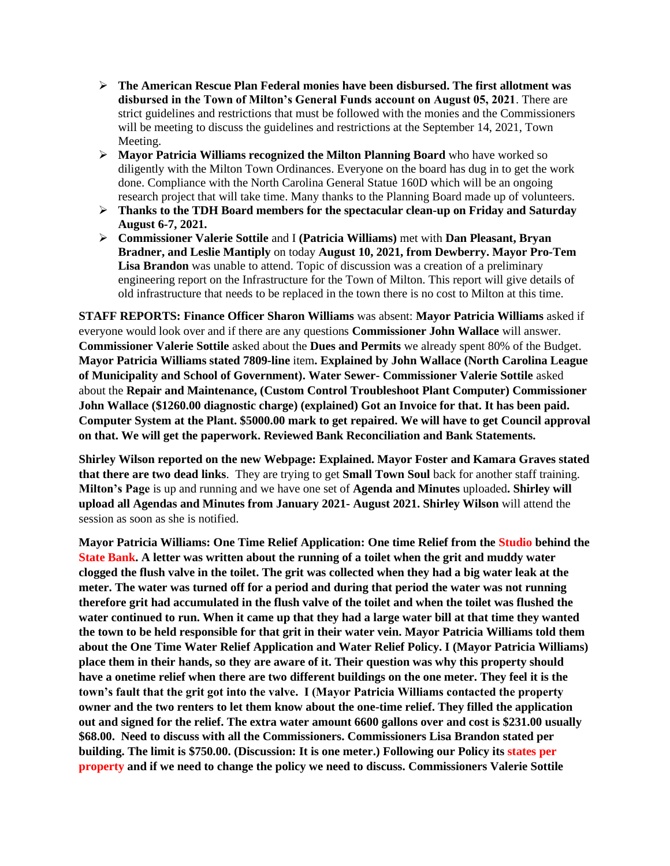- ➢ **The American Rescue Plan Federal monies have been disbursed. The first allotment was disbursed in the Town of Milton's General Funds account on August 05, 2021**. There are strict guidelines and restrictions that must be followed with the monies and the Commissioners will be meeting to discuss the guidelines and restrictions at the September 14, 2021, Town Meeting.
- ➢ **Mayor Patricia Williams recognized the Milton Planning Board** who have worked so diligently with the Milton Town Ordinances. Everyone on the board has dug in to get the work done. Compliance with the North Carolina General Statue 160D which will be an ongoing research project that will take time. Many thanks to the Planning Board made up of volunteers.
- ➢ **Thanks to the TDH Board members for the spectacular clean-up on Friday and Saturday August 6-7, 2021.**
- ➢ **Commissioner Valerie Sottile** and I **(Patricia Williams)** met with **Dan Pleasant, Bryan Bradner, and Leslie Mantiply** on today **August 10, 2021, from Dewberry. Mayor Pro-Tem Lisa Brandon** was unable to attend. Topic of discussion was a creation of a preliminary engineering report on the Infrastructure for the Town of Milton. This report will give details of old infrastructure that needs to be replaced in the town there is no cost to Milton at this time.

**STAFF REPORTS: Finance Officer Sharon Williams** was absent: **Mayor Patricia Williams** asked if everyone would look over and if there are any questions **Commissioner John Wallace** will answer. **Commissioner Valerie Sottile** asked about the **Dues and Permits** we already spent 80% of the Budget. **Mayor Patricia Williams stated 7809-line** item**. Explained by John Wallace (North Carolina League of Municipality and School of Government). Water Sewer- Commissioner Valerie Sottile** asked about the **Repair and Maintenance, (Custom Control Troubleshoot Plant Computer) Commissioner John Wallace (\$1260.00 diagnostic charge) (explained) Got an Invoice for that. It has been paid. Computer System at the Plant. \$5000.00 mark to get repaired. We will have to get Council approval on that. We will get the paperwork. Reviewed Bank Reconciliation and Bank Statements.** 

**Shirley Wilson reported on the new Webpage: Explained. Mayor Foster and Kamara Graves stated that there are two dead links**. They are trying to get **Small Town Soul** back for another staff training. **Milton's Page** is up and running and we have one set of **Agenda and Minutes** uploaded**. Shirley will upload all Agendas and Minutes from January 2021- August 2021. Shirley Wilson** will attend the session as soon as she is notified.

**Mayor Patricia Williams: One Time Relief Application: One time Relief from the Studio behind the State Bank. A letter was written about the running of a toilet when the grit and muddy water clogged the flush valve in the toilet. The grit was collected when they had a big water leak at the meter. The water was turned off for a period and during that period the water was not running therefore grit had accumulated in the flush valve of the toilet and when the toilet was flushed the water continued to run. When it came up that they had a large water bill at that time they wanted the town to be held responsible for that grit in their water vein. Mayor Patricia Williams told them about the One Time Water Relief Application and Water Relief Policy. I (Mayor Patricia Williams) place them in their hands, so they are aware of it. Their question was why this property should have a onetime relief when there are two different buildings on the one meter. They feel it is the town's fault that the grit got into the valve. I (Mayor Patricia Williams contacted the property owner and the two renters to let them know about the one-time relief. They filled the application out and signed for the relief. The extra water amount 6600 gallons over and cost is \$231.00 usually \$68.00. Need to discuss with all the Commissioners. Commissioners Lisa Brandon stated per building. The limit is \$750.00. (Discussion: It is one meter.) Following our Policy its states per property and if we need to change the policy we need to discuss. Commissioners Valerie Sottile**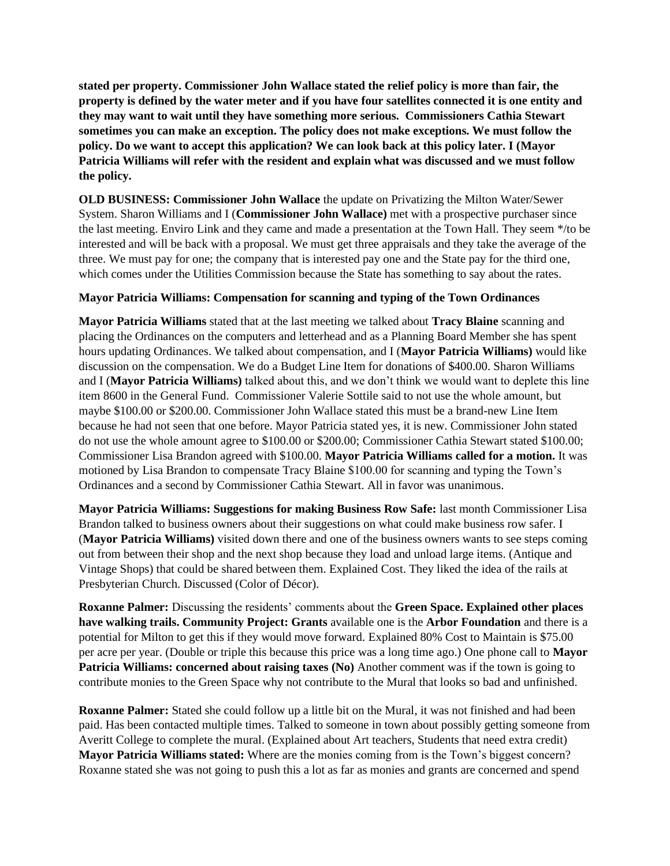**stated per property. Commissioner John Wallace stated the relief policy is more than fair, the property is defined by the water meter and if you have four satellites connected it is one entity and they may want to wait until they have something more serious. Commissioners Cathia Stewart sometimes you can make an exception. The policy does not make exceptions. We must follow the policy. Do we want to accept this application? We can look back at this policy later. I (Mayor Patricia Williams will refer with the resident and explain what was discussed and we must follow the policy.** 

**OLD BUSINESS: Commissioner John Wallace** the update on Privatizing the Milton Water/Sewer System. Sharon Williams and I (**Commissioner John Wallace)** met with a prospective purchaser since the last meeting. Enviro Link and they came and made a presentation at the Town Hall. They seem \*/to be interested and will be back with a proposal. We must get three appraisals and they take the average of the three. We must pay for one; the company that is interested pay one and the State pay for the third one, which comes under the Utilities Commission because the State has something to say about the rates.

## **Mayor Patricia Williams: Compensation for scanning and typing of the Town Ordinances**

**Mayor Patricia Williams** stated that at the last meeting we talked about **Tracy Blaine** scanning and placing the Ordinances on the computers and letterhead and as a Planning Board Member she has spent hours updating Ordinances. We talked about compensation, and I (**Mayor Patricia Williams)** would like discussion on the compensation. We do a Budget Line Item for donations of \$400.00. Sharon Williams and I (**Mayor Patricia Williams)** talked about this, and we don't think we would want to deplete this line item 8600 in the General Fund. Commissioner Valerie Sottile said to not use the whole amount, but maybe \$100.00 or \$200.00. Commissioner John Wallace stated this must be a brand-new Line Item because he had not seen that one before. Mayor Patricia stated yes, it is new. Commissioner John stated do not use the whole amount agree to \$100.00 or \$200.00; Commissioner Cathia Stewart stated \$100.00; Commissioner Lisa Brandon agreed with \$100.00. **Mayor Patricia Williams called for a motion.** It was motioned by Lisa Brandon to compensate Tracy Blaine \$100.00 for scanning and typing the Town's Ordinances and a second by Commissioner Cathia Stewart. All in favor was unanimous.

**Mayor Patricia Williams: Suggestions for making Business Row Safe:** last month Commissioner Lisa Brandon talked to business owners about their suggestions on what could make business row safer. I (**Mayor Patricia Williams)** visited down there and one of the business owners wants to see steps coming out from between their shop and the next shop because they load and unload large items. (Antique and Vintage Shops) that could be shared between them. Explained Cost. They liked the idea of the rails at Presbyterian Church. Discussed (Color of Décor).

**Roxanne Palmer:** Discussing the residents' comments about the **Green Space. Explained other places have walking trails. Community Project: Grants** available one is the **Arbor Foundation** and there is a potential for Milton to get this if they would move forward. Explained 80% Cost to Maintain is \$75.00 per acre per year. (Double or triple this because this price was a long time ago.) One phone call to **Mayor Patricia Williams: concerned about raising taxes (No)** Another comment was if the town is going to contribute monies to the Green Space why not contribute to the Mural that looks so bad and unfinished.

**Roxanne Palmer:** Stated she could follow up a little bit on the Mural, it was not finished and had been paid. Has been contacted multiple times. Talked to someone in town about possibly getting someone from Averitt College to complete the mural. (Explained about Art teachers, Students that need extra credit) **Mayor Patricia Williams stated:** Where are the monies coming from is the Town's biggest concern? Roxanne stated she was not going to push this a lot as far as monies and grants are concerned and spend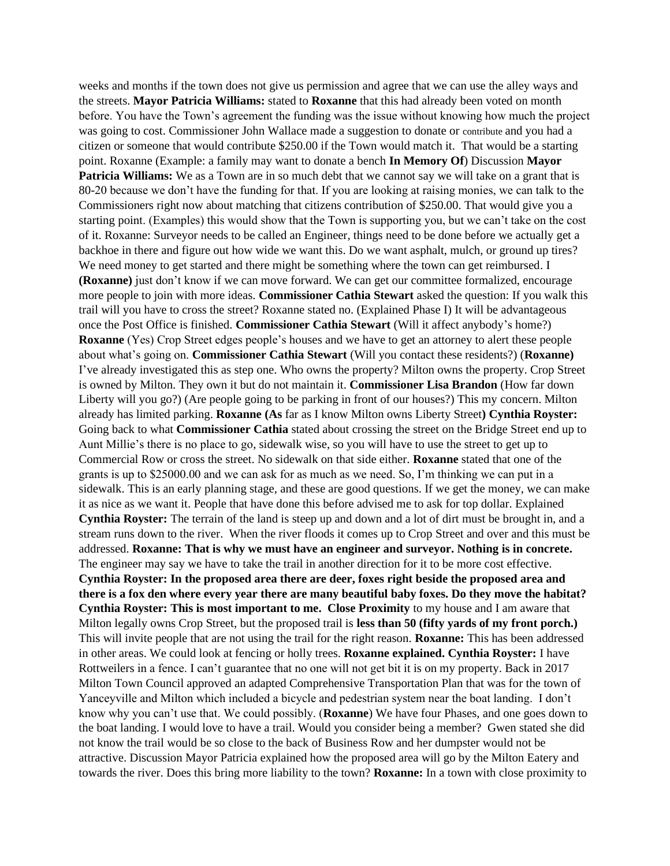weeks and months if the town does not give us permission and agree that we can use the alley ways and the streets. **Mayor Patricia Williams:** stated to **Roxanne** that this had already been voted on month before. You have the Town's agreement the funding was the issue without knowing how much the project was going to cost. Commissioner John Wallace made a suggestion to donate or contribute and you had a citizen or someone that would contribute \$250.00 if the Town would match it. That would be a starting point. Roxanne (Example: a family may want to donate a bench **In Memory Of**) Discussion **Mayor Patricia Williams:** We as a Town are in so much debt that we cannot say we will take on a grant that is 80-20 because we don't have the funding for that. If you are looking at raising monies, we can talk to the Commissioners right now about matching that citizens contribution of \$250.00. That would give you a starting point. (Examples) this would show that the Town is supporting you, but we can't take on the cost of it. Roxanne: Surveyor needs to be called an Engineer, things need to be done before we actually get a backhoe in there and figure out how wide we want this. Do we want asphalt, mulch, or ground up tires? We need money to get started and there might be something where the town can get reimbursed. I **(Roxanne)** just don't know if we can move forward. We can get our committee formalized, encourage more people to join with more ideas. **Commissioner Cathia Stewart** asked the question: If you walk this trail will you have to cross the street? Roxanne stated no. (Explained Phase I) It will be advantageous once the Post Office is finished. **Commissioner Cathia Stewart** (Will it affect anybody's home?) **Roxanne** (Yes) Crop Street edges people's houses and we have to get an attorney to alert these people about what's going on. **Commissioner Cathia Stewart** (Will you contact these residents?) (**Roxanne)** I've already investigated this as step one. Who owns the property? Milton owns the property. Crop Street is owned by Milton. They own it but do not maintain it. **Commissioner Lisa Brandon** (How far down Liberty will you go?) (Are people going to be parking in front of our houses?) This my concern. Milton already has limited parking. **Roxanne (As** far as I know Milton owns Liberty Street**) Cynthia Royster:**  Going back to what **Commissioner Cathia** stated about crossing the street on the Bridge Street end up to Aunt Millie's there is no place to go, sidewalk wise, so you will have to use the street to get up to Commercial Row or cross the street. No sidewalk on that side either. **Roxanne** stated that one of the grants is up to \$25000.00 and we can ask for as much as we need. So, I'm thinking we can put in a sidewalk. This is an early planning stage, and these are good questions. If we get the money, we can make it as nice as we want it. People that have done this before advised me to ask for top dollar. Explained **Cynthia Royster:** The terrain of the land is steep up and down and a lot of dirt must be brought in, and a stream runs down to the river. When the river floods it comes up to Crop Street and over and this must be addressed. **Roxanne: That is why we must have an engineer and surveyor. Nothing is in concrete.**  The engineer may say we have to take the trail in another direction for it to be more cost effective. **Cynthia Royster: In the proposed area there are deer, foxes right beside the proposed area and there is a fox den where every year there are many beautiful baby foxes. Do they move the habitat? Cynthia Royster: This is most important to me. Close Proximity** to my house and I am aware that Milton legally owns Crop Street, but the proposed trail is **less than 50 (fifty yards of my front porch.)**  This will invite people that are not using the trail for the right reason. **Roxanne:** This has been addressed in other areas. We could look at fencing or holly trees. **Roxanne explained. Cynthia Royster:** I have Rottweilers in a fence. I can't guarantee that no one will not get bit it is on my property. Back in 2017 Milton Town Council approved an adapted Comprehensive Transportation Plan that was for the town of Yanceyville and Milton which included a bicycle and pedestrian system near the boat landing. I don't know why you can't use that. We could possibly. (**Roxanne**) We have four Phases, and one goes down to the boat landing. I would love to have a trail. Would you consider being a member? Gwen stated she did not know the trail would be so close to the back of Business Row and her dumpster would not be attractive. Discussion Mayor Patricia explained how the proposed area will go by the Milton Eatery and towards the river. Does this bring more liability to the town? **Roxanne:** In a town with close proximity to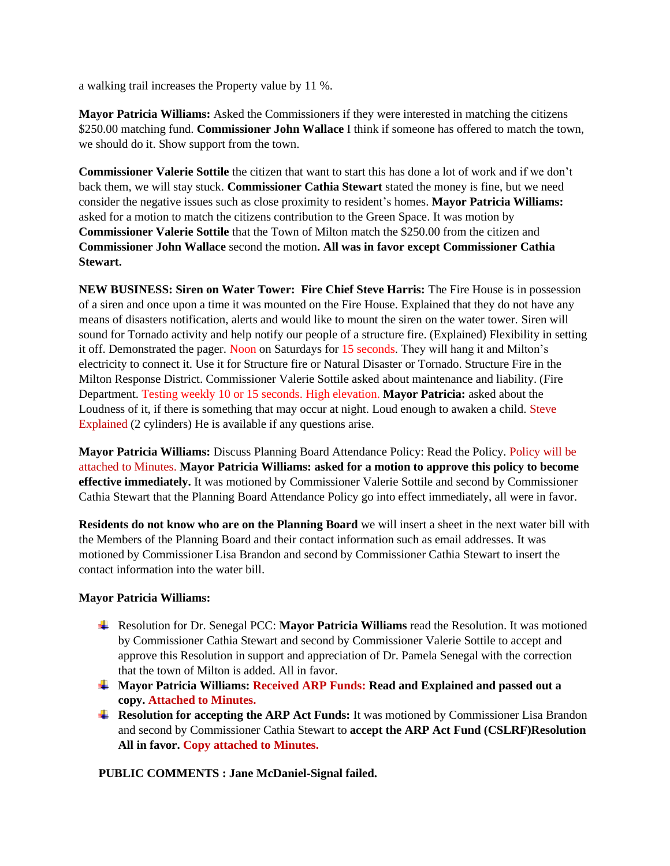a walking trail increases the Property value by 11 %.

**Mayor Patricia Williams:** Asked the Commissioners if they were interested in matching the citizens \$250.00 matching fund. **Commissioner John Wallace** I think if someone has offered to match the town, we should do it. Show support from the town.

**Commissioner Valerie Sottile** the citizen that want to start this has done a lot of work and if we don't back them, we will stay stuck. **Commissioner Cathia Stewart** stated the money is fine, but we need consider the negative issues such as close proximity to resident's homes. **Mayor Patricia Williams:**  asked for a motion to match the citizens contribution to the Green Space. It was motion by **Commissioner Valerie Sottile** that the Town of Milton match the \$250.00 from the citizen and **Commissioner John Wallace** second the motion**. All was in favor except Commissioner Cathia Stewart.**

**NEW BUSINESS: Siren on Water Tower: Fire Chief Steve Harris:** The Fire House is in possession of a siren and once upon a time it was mounted on the Fire House. Explained that they do not have any means of disasters notification, alerts and would like to mount the siren on the water tower. Siren will sound for Tornado activity and help notify our people of a structure fire. (Explained) Flexibility in setting it off. Demonstrated the pager. Noon on Saturdays for 15 seconds. They will hang it and Milton's electricity to connect it. Use it for Structure fire or Natural Disaster or Tornado. Structure Fire in the Milton Response District. Commissioner Valerie Sottile asked about maintenance and liability. (Fire Department. Testing weekly 10 or 15 seconds. High elevation. **Mayor Patricia:** asked about the Loudness of it, if there is something that may occur at night. Loud enough to awaken a child. Steve Explained (2 cylinders) He is available if any questions arise.

**Mayor Patricia Williams:** Discuss Planning Board Attendance Policy: Read the Policy. Policy will be attached to Minutes. **Mayor Patricia Williams: asked for a motion to approve this policy to become effective immediately.** It was motioned by Commissioner Valerie Sottile and second by Commissioner Cathia Stewart that the Planning Board Attendance Policy go into effect immediately, all were in favor.

**Residents do not know who are on the Planning Board** we will insert a sheet in the next water bill with the Members of the Planning Board and their contact information such as email addresses. It was motioned by Commissioner Lisa Brandon and second by Commissioner Cathia Stewart to insert the contact information into the water bill.

#### **Mayor Patricia Williams:**

- Resolution for Dr. Senegal PCC: **Mayor Patricia Williams** read the Resolution. It was motioned by Commissioner Cathia Stewart and second by Commissioner Valerie Sottile to accept and approve this Resolution in support and appreciation of Dr. Pamela Senegal with the correction that the town of Milton is added. All in favor.
- **Mayor Patricia Williams: Received ARP Funds: Read and Explained and passed out a copy. Attached to Minutes.**
- **Resolution for accepting the ARP Act Funds:** It was motioned by Commissioner Lisa Brandon and second by Commissioner Cathia Stewart to **accept the ARP Act Fund (CSLRF)Resolution All in favor. Copy attached to Minutes.**

#### **PUBLIC COMMENTS : Jane McDaniel-Signal failed.**